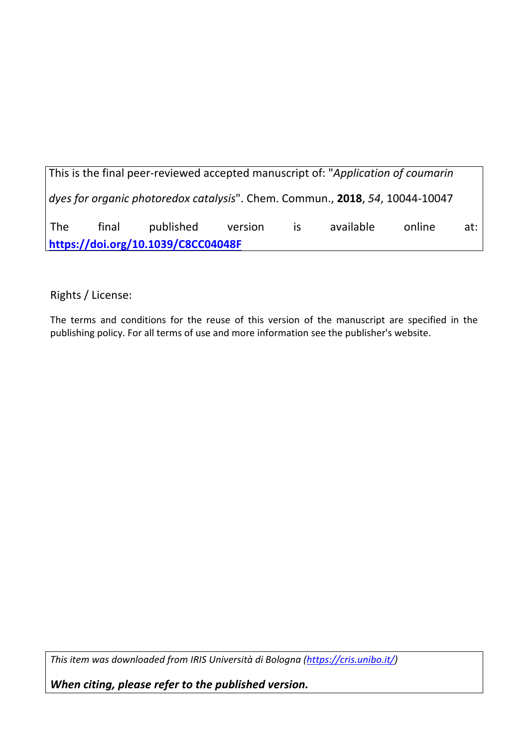This is the final peer-reviewed accepted manuscript of: "*Application of coumarin dyes for organic photoredox catalysis*". Chem. Commun., **2018**, *54*, 10044-10047 The final published version is available online at: **https://doi.org/10.1039/C8CC04048F**

Rights / License:

The terms and conditions for the reuse of this version of the manuscript are specified in the publishing policy. For all terms of use and more information see the publisher's website.

*This item was downloaded from IRIS Università di Bologna (https://cris.unibo.it/)*

*When citing, please refer to the published version.*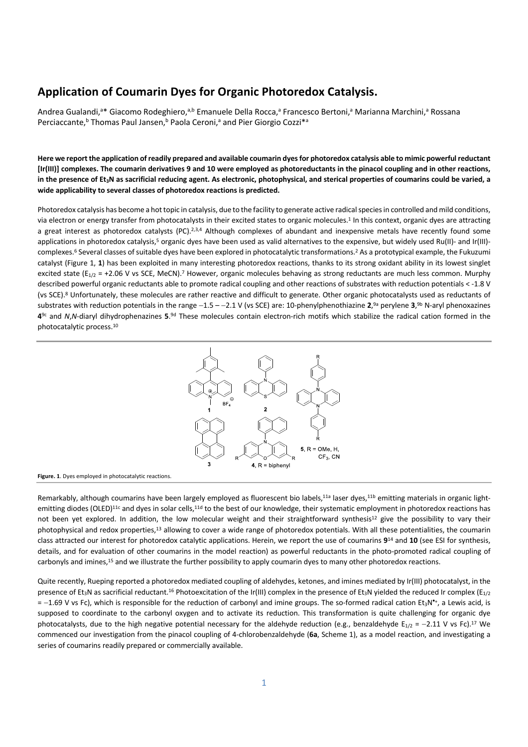## **Application of Coumarin Dyes for Organic Photoredox Catalysis.**

Andrea Gualandi,<sup>a</sup>\* Giacomo Rodeghiero,<sup>a,b</sup> Emanuele Della Rocca,<sup>a</sup> Francesco Bertoni,<sup>a</sup> Marianna Marchini,<sup>a</sup> Rossana Perciaccante,<sup>b</sup> Thomas Paul Jansen,<sup>b</sup> Paola Ceroni,<sup>a</sup> and Pier Giorgio Cozzi<sup>\*a</sup>

**Here we report the application of readily prepared and available coumarin dyes for photoredox catalysis able to mimic powerful reductant [Ir(III)] complexes. The coumarin derivatives 9 and 10 were employed as photoreductants in the pinacol coupling and in other reactions, in the presence of Et3N as sacrificial reducing agent. As electronic, photophysical, and sterical properties of coumarins could be varied, a wide applicability to several classes of photoredox reactions is predicted.**

Photoredox catalysis has become a hot topic in catalysis, due to the facility to generate active radical species in controlled and mild conditions, via electron or energy transfer from photocatalysts in their excited states to organic molecules.1 In this context, organic dyes are attracting a great interest as photoredox catalysts (PC).<sup>2,3,4</sup> Although complexes of abundant and inexpensive metals have recently found some applications in photoredox catalysis,<sup>5</sup> organic dyes have been used as valid alternatives to the expensive, but widely used Ru(II)- and Ir(III)complexes.6 Several classes of suitable dyes have been explored in photocatalytic transformations.2 As a prototypical example, the Fukuzumi catalyst (Figure 1, **1**) has been exploited in many interesting photoredox reactions, thanks to its strong oxidant ability in its lowest singlet excited state ( $E_{1/2}$  = +2.06 V vs SCE, MeCN).<sup>7</sup> However, organic molecules behaving as strong reductants are much less common. Murphy described powerful organic reductants able to promote radical coupling and other reactions of substrates with reduction potentials < -1.8 V (vs SCE).8 Unfortunately, these molecules are rather reactive and difficult to generate. Other organic photocatalysts used as reductants of substrates with reduction potentials in the range -1.5 - -2.1 V (vs SCE) are: 10-phenylphenothiazine 2,<sup>9a</sup> perylene 3,<sup>9b</sup> N-aryl phenoxazines **4**9c and *N*,*N*-diaryl dihydrophenazines **5**. 9d These molecules contain electron-rich motifs which stabilize the radical cation formed in the photocatalytic process.10



**Figure. 1**. Dyes employed in photocatalytic reactions.

Remarkably, although coumarins have been largely employed as fluorescent bio labels,<sup>11a</sup> laser dyes,<sup>11b</sup> emitting materials in organic lightemitting diodes (OLED)<sup>11c</sup> and dyes in solar cells,<sup>11d</sup> to the best of our knowledge, their systematic employment in photoredox reactions has not been yet explored. In addition, the low molecular weight and their straightforward synthesis<sup>12</sup> give the possibility to vary their photophysical and redox properties,13 allowing to cover a wide range of photoredox potentials. With all these potentialities, the coumarin class attracted our interest for photoredox catalytic applications. Herein, we report the use of coumarins **9**<sup>14</sup> and **10** (see ESI for synthesis, details, and for evaluation of other coumarins in the model reaction) as powerful reductants in the photo-promoted radical coupling of carbonyls and imines,15 and we illustrate the further possibility to apply coumarin dyes to many other photoredox reactions.

Quite recently, Rueping reported a photoredox mediated coupling of aldehydes, ketones, and imines mediated by Ir(III) photocatalyst, in the presence of Et<sub>3</sub>N as sacrificial reductant.<sup>16</sup> Photoexcitation of the Ir(III) complex in the presence of Et<sub>3</sub>N yielded the reduced Ir complex (E<sub>1/2</sub>)  $= -1.69$  V vs Fc), which is responsible for the reduction of carbonyl and imine groups. The so-formed radical cation Et<sub>3</sub>N<sup>\*</sup>+, a Lewis acid, is supposed to coordinate to the carbonyl oxygen and to activate its reduction. This transformation is quite challenging for organic dye photocatalysts, due to the high negative potential necessary for the aldehyde reduction (e.g., benzaldehyde  $E_{1/2} = -2.11$  V vs Fc).<sup>17</sup> We commenced our investigation from the pinacol coupling of 4-chlorobenzaldehyde (**6a**, Scheme 1), as a model reaction, and investigating a series of coumarins readily prepared or commercially available.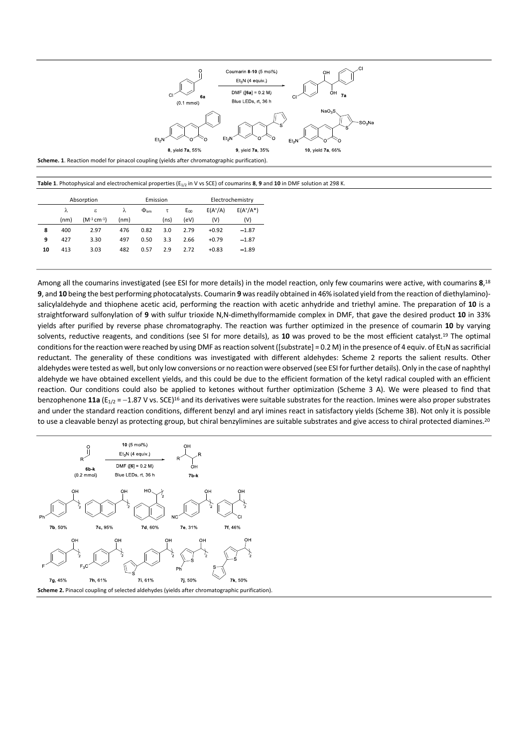

**Table 1**. Photophysical and electrochemical properties (E1/2 in V vs SCE) of coumarins **8**, **9** and **10** in DMF solution at 298 K.

|    |      | Absorption                   | Emission |                    |      |          | Electrochemistry |              |
|----|------|------------------------------|----------|--------------------|------|----------|------------------|--------------|
|    | λ    | ε                            | λ        | $\Phi_{\text{em}}$ | τ    | $E_{00}$ | $E(A^+/A)$       | $E(A^*/A^*)$ |
|    | (nm) | $(M^{-1}$ cm <sup>-1</sup> ) | (nm)     |                    | (ns) | (eV)     | (V)              | (V)          |
| 8  | 400  | 2.97                         | 476      | 0.82               | 3.0  | 2.79     | $+0.92$          | $-1.87$      |
| 9  | 427  | 3.30                         | 497      | 0.50               | 3.3  | 2.66     | $+0.79$          | $-1.87$      |
| 10 | 413  | 3.03                         | 482      | 0.57               | 2.9  | 2.72     | $+0.83$          | $-1.89$      |
|    |      |                              |          |                    |      |          |                  |              |

Among all the coumarins investigated (see ESI for more details) in the model reaction, only few coumarins were active, with coumarins **8**, 18 **9**, and **10** being the best performing photocatalysts. Coumarin **9** wasreadily obtained in 46% isolated yield from the reaction of diethylamino) salicylaldehyde and thiophene acetic acid, performing the reaction with acetic anhydride and triethyl amine. The preparation of **10** is a straightforward sulfonylation of **9** with sulfur trioxide N,N-dimethylformamide complex in DMF, that gave the desired product **10** in 33% yields after purified by reverse phase chromatography. The reaction was further optimized in the presence of coumarin **10** by varying solvents, reductive reagents, and conditions (see SI for more details), as **10** was proved to be the most efficient catalyst.19 The optimal conditions for the reaction were reached by using DMF as reaction solvent ([substrate] = 0.2 M) in the presence of 4 equiv. of Et<sub>3</sub>N as sacrificial reductant. The generality of these conditions was investigated with different aldehydes: Scheme 2 reports the salient results. Other aldehydes were tested as well, but only low conversions or no reaction were observed (see ESI for further details). Only in the case of naphthyl aldehyde we have obtained excellent yields, and this could be due to the efficient formation of the ketyl radical coupled with an efficient reaction. Our conditions could also be applied to ketones without further optimization (Scheme 3 A). We were pleased to find that benzophenone 11a (E<sub>1/2</sub> = -1.87 V vs. SCE)<sup>16</sup> and its derivatives were suitable substrates for the reaction. Imines were also proper substrates and under the standard reaction conditions, different benzyl and aryl imines react in satisfactory yields (Scheme 3B). Not only it is possible to use a cleavable benzyl as protecting group, but chiral benzylimines are suitable substrates and give access to chiral protected diamines.<sup>20</sup>

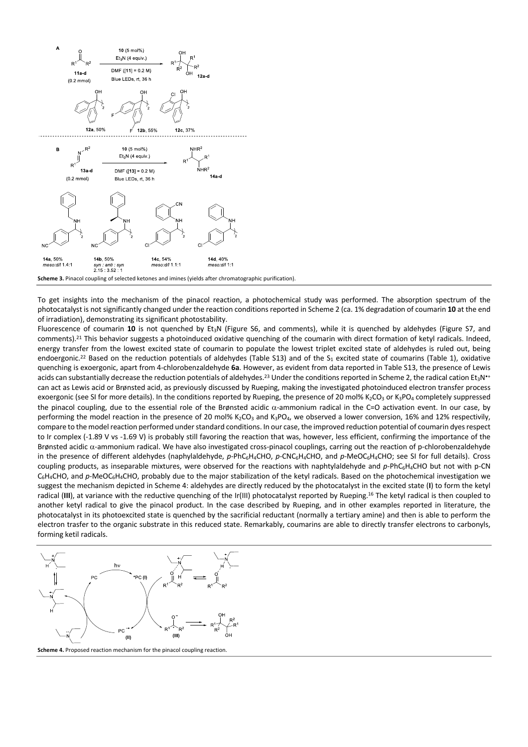

To get insights into the mechanism of the pinacol reaction, a photochemical study was performed. The absorption spectrum of the photocatalyst is not significantly changed under the reaction conditions reported in Scheme 2 (ca. 1% degradation of coumarin **10** at the end of irradiation), demonstrating its significant photostability.

Fluorescence of coumarin **10** is not quenched by Et3N (Figure S6, and comments), while it is quenched by aldehydes (Figure S7, and comments).21 This behavior suggests a photoinduced oxidative quenching of the coumarin with direct formation of ketyl radicals. Indeed, energy transfer from the lowest excited state of coumarin to populate the lowest triplet excited state of aldehydes is ruled out, being endoergonic.<sup>22</sup> Based on the reduction potentials of aldehydes (Table S13) and of the S<sub>1</sub> excited state of coumarins (Table 1), oxidative quenching is exoergonic, apart from 4-chlorobenzaldehyde **6a**. However, as evident from data reported in Table S13, the presence of Lewis acids can substantially decrease the reduction potentials of aldehydes.<sup>23</sup> Under the conditions reported in Scheme 2, the radical cation Et<sub>3</sub>N<sup>++</sup> can act as Lewis acid or Brønsted acid, as previously discussed by Rueping, making the investigated photoinduced electron transfer process exoergonic (see SI for more details). In the conditions reported by Rueping, the presence of 20 mol% K<sub>2</sub>CO<sub>3</sub> or K<sub>3</sub>PO<sub>4</sub> completely suppressed the pinacol coupling, due to the essential role of the Brønsted acidic a-ammonium radical in the C=O activation event. In our case, by performing the model reaction in the presence of 20 mol% K<sub>2</sub>CO<sub>3</sub> and K<sub>3</sub>PO<sub>4</sub>, we observed a lower conversion, 16% and 12% respectivily, compare to the model reaction performed under standard conditions. In our case, the improved reduction potential of coumarin dyes respect to Ir complex (-1.89 V vs -1.69 V) is probably still favoring the reaction that was, however, less efficient, confirming the importance of the Brønsted acidic  $\alpha$ -ammonium radical. We have also investigated cross-pinacol couplings, carring out the reaction of p-chlorobenzaldehyde in the presence of different aldehydes (naphylaldehyde, p-PhC<sub>6</sub>H<sub>4</sub>CHO, p-CNC<sub>6</sub>H<sub>4</sub>CHO, and p-MeOC<sub>6</sub>H<sub>4</sub>CHO; see SI for full details). Cross coupling products, as inseparable mixtures, were observed for the reactions with naphtylaldehyde and p-PhC<sub>6</sub>H<sub>4</sub>CHO but not with p-CN C<sub>6</sub>H<sub>4</sub>CHO, and p-MeOC<sub>6</sub>H<sub>4</sub>CHO, probably due to the major stabilization of the ketyl radicals. Based on the photochemical investigation we suggest the mechanism depicted in Scheme 4: aldehydes are directly reduced by the photocatalyst in the excited state (**I**) to form the ketyl radical (**III**), at variance with the reductive quenching of the Ir(III) photocatalyst reported by Rueping.16 The ketyl radical is then coupled to another ketyl radical to give the pinacol product. In the case described by Rueping, and in other examples reported in literature, the photocatalyst in its photoexcited state is quenched by the sacrificial reductant (normally a tertiary amine) and then is able to perform the electron trasfer to the organic substrate in this reduced state. Remarkably, coumarins are able to directly transfer electrons to carbonyls, forming ketil radicals.



**Scheme 4.** Proposed reaction mechanism for the pinacol coupling reaction.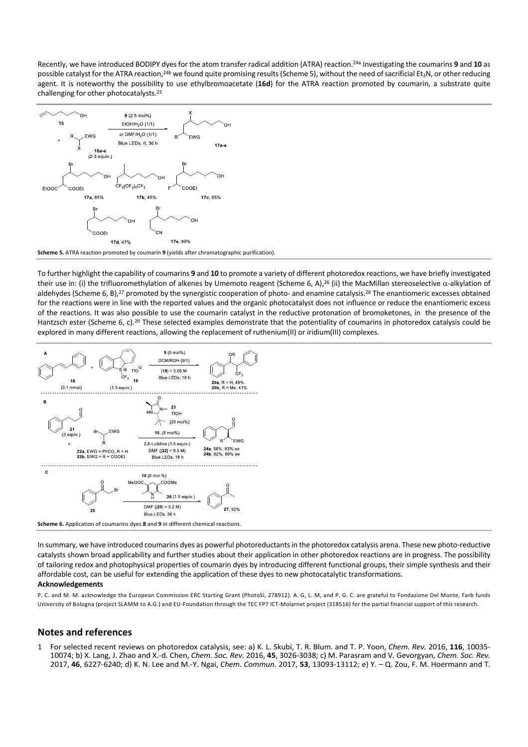Recently, we have introduced BODIPY dyes for the atom transfer radical addition (ATRA) reaction.24a Investigating the coumarins **9** and **10** as possible catalyst for the ATRA reaction,<sup>24b</sup> we found quite promising results (Scheme 5), without the need of sacrificial Et<sub>3</sub>N, or other reducing agent. It is noteworthy the possibility to use ethylbromoacetate (**16d**) for the ATRA reaction promoted by coumarin, a substrate quite challenging for other photocatalysts.25



**Scheme 5.** ATRA reaction promoted by coumarin **9** (yields after chromatographic purification).

To further highlight the capability of coumarins **9** and **10** to promote a variety of different photoredox reactions, we have briefly investigated their use in: (i) the trifluoromethylation of alkenes by Umemoto reagent (Scheme 6, A),<sup>26</sup> (ii) the MacMillan stereoselective  $\alpha$ -alkylation of aldehydes (Scheme 6, B),<sup>27</sup> promoted by the synergistic cooperation of photo- and enamine catalysis.<sup>28</sup> The enantiomeric excesses obtained for the reactions were in line with the reported values and the organic photocatalyst does not influence or reduce the enantiomeric excess of the reactions. It was also possible to use the coumarin catalyst in the reductive protonation of bromoketones, in the presence of the Hantzsch ester (Scheme 6, c).<sup>29</sup> These selected examples demonstrate that the potentiality of coumarins in photoredox catalysis could be explored in many different reactions, allowing the replacement of ruthenium(II) or iridium(III) complexes.



In summary, we have introduced coumarins dyes as powerful photoreductants in the photoredox catalysis arena. These new photo-reductive catalysts shown broad applicability and further studies about their application in other photoredox reactions are in progress. The possibility of tailoring redox and photophysical properties of coumarin dyes by introducing different functional groups, their simple synthesis and their affordable cost, can be useful for extending the application of these dyes to new photocatalytic transformations.

## **Acknowledgements**

P. C. and M. M. acknowledge the European Commission ERC Starting Grant (PhotoSi, 278912). A. G, L. M, and P. G. C. are grateful to Fondazione Del Monte, Farb funds University of Bologna (project SLAMM to A.G.) and EU-Foundation through the TEC FP7 ICT-Molarnet project (318516) for the partial financial support of this research.

## **Notes and references**

1 For selected recent reviews on photoredox catalysis, see: a) K. L. Skubi, T. R. Blum. and T. P. Yoon, *Chem. Rev.* 2016, **116**, 10035- 10074; b) X. Lang, J. Zhao and X.-d. Chen, *Chem. Soc. Rev.* 2016, **45**, 3026-3038; c) M. Parasram and V. Gevorgyan, *Chem. Soc. Rev.* 2017, **46**, 6227-6240; d) K. N. Lee and M.-Y. Ngai, *Chem. Commun.* 2017, **53**, 13093-13112; e) Y. – Q. Zou, F. M. Hoermann and T.